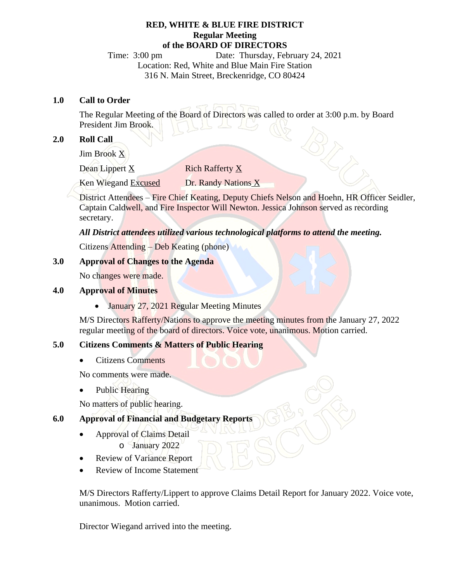#### **RED, WHITE & BLUE FIRE DISTRICT Regular Meeting of the BOARD OF DIRECTORS**

Time: 3:00 pm Date: Thursday, February 24, 2021 Location: Red, White and Blue Main Fire Station 316 N. Main Street, Breckenridge, CO 80424

#### **1.0 Call to Order**

The Regular Meeting of the Board of Directors was called to order at 3:00 p.m. by Board President Jim Brook.

## **2.0 Roll Call**

Jim Brook X

Dean Lippert X Rich Rafferty X

Ken Wiegand Excused Dr. Randy Nations X

District Attendees – Fire Chief Keating, Deputy Chiefs Nelson and Hoehn, HR Officer Seidler, Captain Caldwell, and Fire Inspector Will Newton. Jessica Johnson served as recording secretary.

## *All District attendees utilized various technological platforms to attend the meeting.*

Citizens Attending – Deb Keating (phone)

## **3.0 Approval of Changes to the Agenda**

No changes were made.

#### **4.0 Approval of Minutes**

• January 27, 2021 Regular Meeting Minutes

M/S Directors Rafferty/Nations to approve the meeting minutes from the January 27, 2022 regular meeting of the board of directors. Voice vote, unanimous. Motion carried.

## **5.0 Citizens Comments & Matters of Public Hearing**

· Citizens Comments

No comments were made.

Public Hearing

No matters of public hearing.

# **6.0 Approval of Financial and Budgetary Reports**

- · Approval of Claims Detail o January 2022
- · Review of Variance Report
- Review of Income Statement

M/S Directors Rafferty/Lippert to approve Claims Detail Report for January 2022. Voice vote, unanimous. Motion carried.

Director Wiegand arrived into the meeting.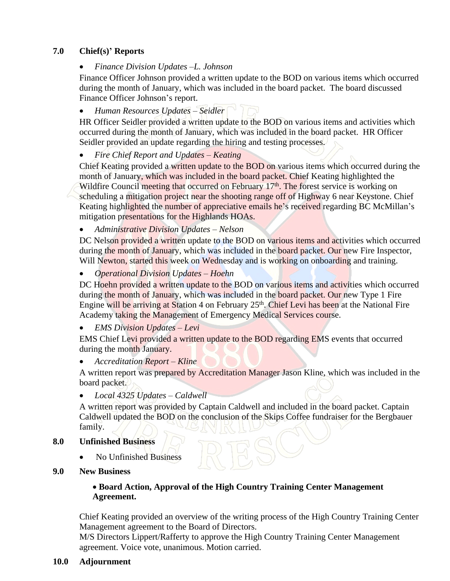## **7.0 Chief(s)' Reports**

*Finance Division Updates –L. Johnson*

Finance Officer Johnson provided a written update to the BOD on various items which occurred during the month of January, which was included in the board packet. The board discussed Finance Officer Johnson's report.

*Human Resources Updates – Seidler*

HR Officer Seidler provided a written update to the BOD on various items and activities which occurred during the month of January, which was included in the board packet. HR Officer Seidler provided an update regarding the hiring and testing processes.

*Fire Chief Report and Updates – Keating*

Chief Keating provided a written update to the BOD on various items which occurred during the month of January, which was included in the board packet. Chief Keating highlighted the Wildfire Council meeting that occurred on February 17<sup>th</sup>. The forest service is working on scheduling a mitigation project near the shooting range off of Highway 6 near Keystone. Chief Keating highlighted the number of appreciative emails he's received regarding BC McMillan's mitigation presentations for the Highlands HOAs.

*Administrative Division Updates – Nelson*

DC Nelson provided a written update to the BOD on various items and activities which occurred during the month of January, which was included in the board packet. Our new Fire Inspector, Will Newton, started this week on Wednesday and is working on onboarding and training.

*Operational Division Updates – Hoehn*

DC Hoehn provided a written update to the BOD on various items and activities which occurred during the month of January, which was included in the board packet. Our new Type 1 Fire Engine will be arriving at Station 4 on February 25<sup>th</sup>. Chief Levi has been at the National Fire Academy taking the Management of Emergency Medical Services course.

*EMS Division Updates – Levi*

EMS Chief Levi provided a written update to the BOD regarding EMS events that occurred during the month January.

*Accreditation Report – Kline*

A written report was prepared by Accreditation Manager Jason Kline, which was included in the board packet.

*Local 4325 Updates – Caldwell*

A written report was provided by Captain Caldwell and included in the board packet. Captain Caldwell updated the BOD on the conclusion of the Skips Coffee fundraiser for the Bergbauer family.

## **8.0 Unfinished Business**

- No Unfinished Business
- **9.0 New Business**

#### · **Board Action, Approval of the High Country Training Center Management Agreement.**

Chief Keating provided an overview of the writing process of the High Country Training Center Management agreement to the Board of Directors.

M/S Directors Lippert/Rafferty to approve the High Country Training Center Management agreement. Voice vote, unanimous. Motion carried.

**10.0 Adjournment**